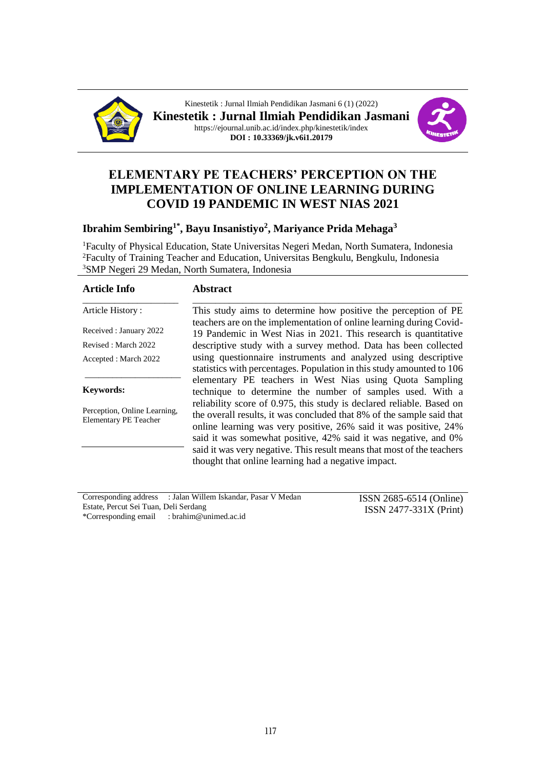

Kinestetik : Jurnal Ilmiah Pendidikan Jasmani 6 (1) (2022) **Kinestetik : Jurnal Ilmiah Pendidikan Jasmani** https://ejournal.unib.ac.id/index.php/kinestetik/index **DOI : 10.33369/jk.v6i1.20179**



# **ELEMENTARY PE TEACHERS' PERCEPTION ON THE IMPLEMENTATION OF ONLINE LEARNING DURING COVID 19 PANDEMIC IN WEST NIAS 2021**

## **Ibrahim Sembiring1\*, Bayu Insanistiyo<sup>2</sup> , Mariyance Prida Mehaga<sup>3</sup>**

<sup>1</sup>Faculty of Physical Education, State Universitas Negeri Medan, North Sumatera, Indonesia <sup>2</sup>Faculty of Training Teacher and Education, Universitas Bengkulu, Bengkulu, Indonesia <sup>3</sup>SMP Negeri 29 Medan, North Sumatera, Indonesia

| <b>Article Info</b>                                          | <b>Abstract</b>                                                                                                                                                                                                                                                                                                                                                                                                        |
|--------------------------------------------------------------|------------------------------------------------------------------------------------------------------------------------------------------------------------------------------------------------------------------------------------------------------------------------------------------------------------------------------------------------------------------------------------------------------------------------|
| Article History:                                             | This study aims to determine how positive the perception of PE                                                                                                                                                                                                                                                                                                                                                         |
| Received: January 2022                                       | teachers are on the implementation of online learning during Covid-<br>19 Pandemic in West Nias in 2021. This research is quantitative                                                                                                                                                                                                                                                                                 |
| Revised: March 2022                                          | descriptive study with a survey method. Data has been collected                                                                                                                                                                                                                                                                                                                                                        |
| Accepted: March 2022                                         | using questionnaire instruments and analyzed using descriptive                                                                                                                                                                                                                                                                                                                                                         |
|                                                              | statistics with percentages. Population in this study amounted to 106                                                                                                                                                                                                                                                                                                                                                  |
| <b>Keywords:</b>                                             | elementary PE teachers in West Nias using Quota Sampling<br>technique to determine the number of samples used. With a                                                                                                                                                                                                                                                                                                  |
| Perception, Online Learning,<br><b>Elementary PE Teacher</b> | reliability score of 0.975, this study is declared reliable. Based on<br>the overall results, it was concluded that 8% of the sample said that<br>online learning was very positive, 26% said it was positive, 24%<br>said it was somewhat positive, 42% said it was negative, and 0%<br>said it was very negative. This result means that most of the teachers<br>thought that online learning had a negative impact. |

Corresponding address : Jalan Willem Iskandar, Pasar V Medan Estate, Percut Sei Tuan, Deli Serdang \*Corresponding email : brahim@unimed.ac.id

ISSN 2685-6514 (Online) ISSN 2477-331X (Print)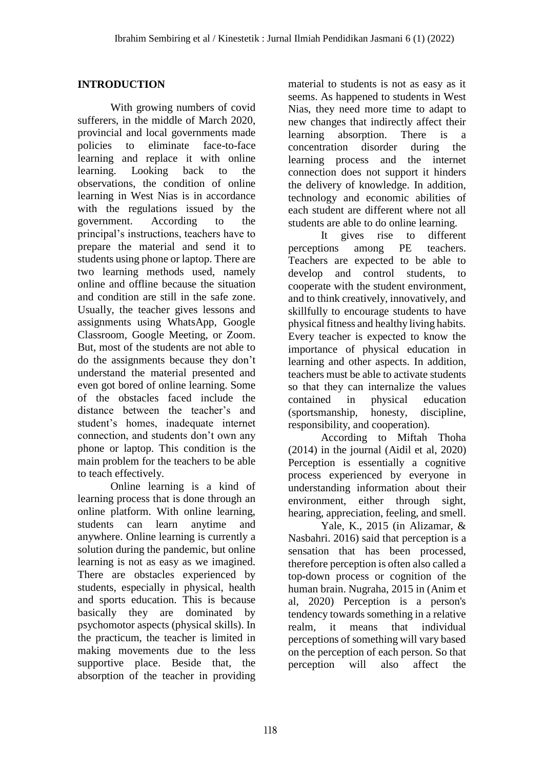# **INTRODUCTION**

With growing numbers of covid sufferers, in the middle of March 2020, provincial and local governments made policies to eliminate face-to-face learning and replace it with online learning. Looking back to the observations, the condition of online learning in West Nias is in accordance with the regulations issued by the government. According to the principal's instructions, teachers have to prepare the material and send it to students using phone or laptop. There are two learning methods used, namely online and offline because the situation and condition are still in the safe zone. Usually, the teacher gives lessons and assignments using WhatsApp, Google Classroom, Google Meeting, or Zoom. But, most of the students are not able to do the assignments because they don't understand the material presented and even got bored of online learning. Some of the obstacles faced include the distance between the teacher's and student's homes, inadequate internet connection, and students don't own any phone or laptop. This condition is the main problem for the teachers to be able to teach effectively.

Online learning is a kind of learning process that is done through an online platform. With online learning, students can learn anytime and anywhere. Online learning is currently a solution during the pandemic, but online learning is not as easy as we imagined. There are obstacles experienced by students, especially in physical, health and sports education. This is because basically they are dominated by psychomotor aspects (physical skills). In the practicum, the teacher is limited in making movements due to the less supportive place. Beside that, the absorption of the teacher in providing material to students is not as easy as it seems. As happened to students in West Nias, they need more time to adapt to new changes that indirectly affect their learning absorption. There is a concentration disorder during the learning process and the internet connection does not support it hinders the delivery of knowledge. In addition, technology and economic abilities of each student are different where not all students are able to do online learning.

It gives rise to different perceptions among PE teachers. Teachers are expected to be able to develop and control students, to cooperate with the student environment, and to think creatively, innovatively, and skillfully to encourage students to have physical fitness and healthy living habits. Every teacher is expected to know the importance of physical education in learning and other aspects. In addition, teachers must be able to activate students so that they can internalize the values contained in physical education (sportsmanship, honesty, discipline, responsibility, and cooperation).

According to Miftah Thoha (2014) in the journal (Aidil et al, 2020) Perception is essentially a cognitive process experienced by everyone in understanding information about their environment, either through sight, hearing, appreciation, feeling, and smell.

Yale, K., 2015 (in Alizamar, & Nasbahri. 2016) said that perception is a sensation that has been processed, therefore perception is often also called a top-down process or cognition of the human brain. Nugraha, 2015 in (Anim et al, 2020) Perception is a person's tendency towards something in a relative realm, it means that individual perceptions of something will vary based on the perception of each person. So that perception will also affect the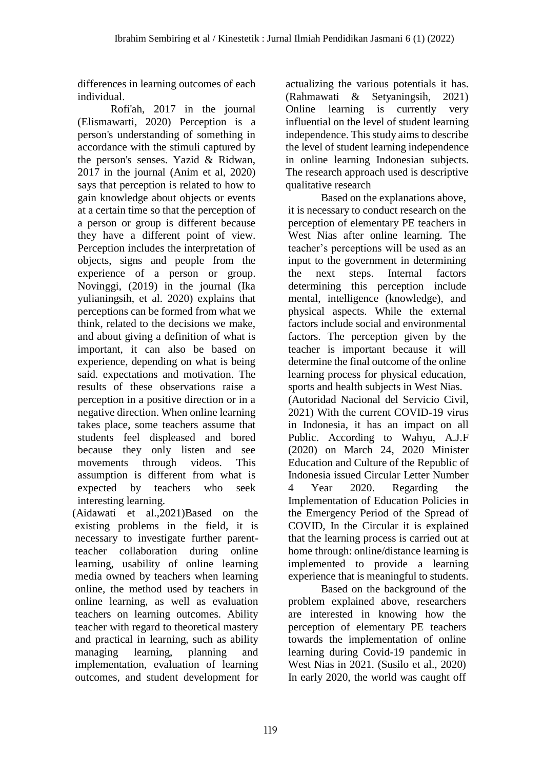differences in learning outcomes of each individual.

Rofi'ah, 2017 in the journal (Elismawarti, 2020) Perception is a person's understanding of something in accordance with the stimuli captured by the person's senses. Yazid & Ridwan, 2017 in the journal (Anim et al, 2020) says that perception is related to how to gain knowledge about objects or events at a certain time so that the perception of a person or group is different because they have a different point of view. Perception includes the interpretation of objects, signs and people from the experience of a person or group. Novinggi, (2019) in the journal (Ika yulianingsih, et al. 2020) explains that perceptions can be formed from what we think, related to the decisions we make, and about giving a definition of what is important, it can also be based on experience, depending on what is being said. expectations and motivation. The results of these observations raise a perception in a positive direction or in a negative direction. When online learning takes place, some teachers assume that students feel displeased and bored because they only listen and see movements through videos. This assumption is different from what is expected by teachers who seek interesting learning.

(Aidawati et al.,2021)Based on the existing problems in the field, it is necessary to investigate further parentteacher collaboration during online learning, usability of online learning media owned by teachers when learning online, the method used by teachers in online learning, as well as evaluation teachers on learning outcomes. Ability teacher with regard to theoretical mastery and practical in learning, such as ability managing learning, planning and implementation, evaluation of learning outcomes, and student development for

actualizing the various potentials it has. (Rahmawati & Setyaningsih, 2021) Online learning is currently very influential on the level of student learning independence. This study aims to describe the level of student learning independence in online learning Indonesian subjects. The research approach used is descriptive qualitative research

Based on the explanations above, it is necessary to conduct research on the perception of elementary PE teachers in West Nias after online learning. The teacher's perceptions will be used as an input to the government in determining the next steps. Internal factors determining this perception include mental, intelligence (knowledge), and physical aspects. While the external factors include social and environmental factors. The perception given by the teacher is important because it will determine the final outcome of the online learning process for physical education, sports and health subjects in West Nias. (Autoridad Nacional del Servicio Civil, 2021) With the current COVID-19 virus in Indonesia, it has an impact on all Public. According to Wahyu, A.J.F (2020) on March 24, 2020 Minister Education and Culture of the Republic of Indonesia issued Circular Letter Number 4 Year 2020. Regarding the Implementation of Education Policies in the Emergency Period of the Spread of COVID, In the Circular it is explained that the learning process is carried out at home through: online/distance learning is implemented to provide a learning experience that is meaningful to students.

Based on the background of the problem explained above, researchers are interested in knowing how the perception of elementary PE teachers towards the implementation of online learning during Covid-19 pandemic in West Nias in 2021. (Susilo et al., 2020) In early 2020, the world was caught off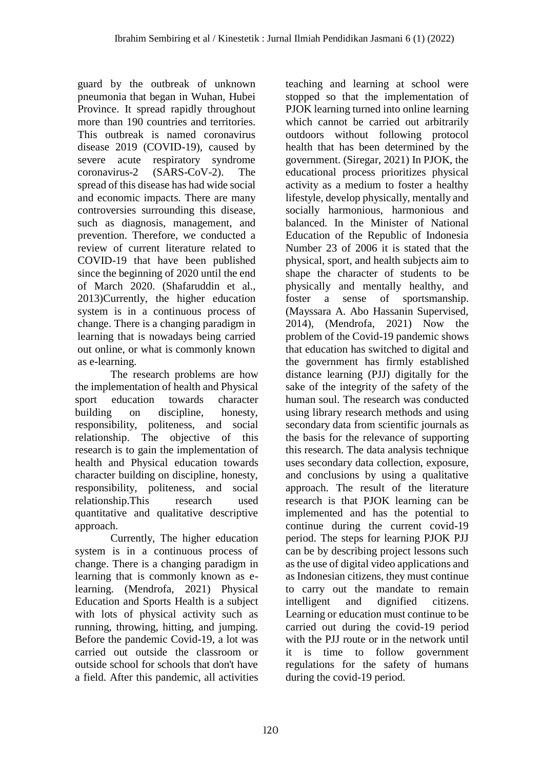guard by the outbreak of unknown pneumonia that began in Wuhan, Hubei Province. It spread rapidly throughout more than 190 countries and territories. This outbreak is named coronavirus disease 2019 (COVID-19), caused by severe acute respiratory syndrome coronavirus-2 (SARS-CoV-2). The spread of this disease has had wide social and economic impacts. There are many controversies surrounding this disease, such as diagnosis, management, and prevention. Therefore, we conducted a review of current literature related to COVID-19 that have been published since the beginning of 2020 until the end of March 2020. (Shafaruddin et al., 2013)Currently, the higher education system is in a continuous process of change. There is a changing paradigm in learning that is nowadays being carried out online, or what is commonly known as e-learning.

The research problems are how the implementation of health and Physical sport education towards character building on discipline, honesty, responsibility, politeness, and social relationship. The objective of this research is to gain the implementation of health and Physical education towards character building on discipline, honesty, responsibility, politeness, and social relationship.This research used quantitative and qualitative descriptive approach.

Currently, The higher education system is in a continuous process of change. There is a changing paradigm in learning that is commonly known as elearning. (Mendrofa, 2021) Physical Education and Sports Health is a subject with lots of physical activity such as running, throwing, hitting, and jumping. Before the pandemic Covid-19, a lot was carried out outside the classroom or outside school for schools that don't have a field. After this pandemic, all activities

teaching and learning at school were stopped so that the implementation of PJOK learning turned into online learning which cannot be carried out arbitrarily outdoors without following protocol health that has been determined by the government. (Siregar, 2021) In PJOK, the educational process prioritizes physical activity as a medium to foster a healthy lifestyle, develop physically, mentally and socially harmonious, harmonious and balanced. In the Minister of National Education of the Republic of Indonesia Number 23 of 2006 it is stated that the physical, sport, and health subjects aim to shape the character of students to be physically and mentally healthy, and foster a sense of sportsmanship. (Mayssara A. Abo Hassanin Supervised, 2014), (Mendrofa, 2021) Now the problem of the Covid-19 pandemic shows that education has switched to digital and the government has firmly established distance learning (PJJ) digitally for the sake of the integrity of the safety of the human soul. The research was conducted using library research methods and using secondary data from scientific journals as the basis for the relevance of supporting this research. The data analysis technique uses secondary data collection, exposure, and conclusions by using a qualitative approach. The result of the literature research is that PJOK learning can be implemented and has the potential to continue during the current covid-19 period. The steps for learning PJOK PJJ can be by describing project lessons such as the use of digital video applications and as Indonesian citizens, they must continue to carry out the mandate to remain intelligent and dignified citizens. Learning or education must continue to be carried out during the covid-19 period with the PJJ route or in the network until it is time to follow government regulations for the safety of humans during the covid-19 period.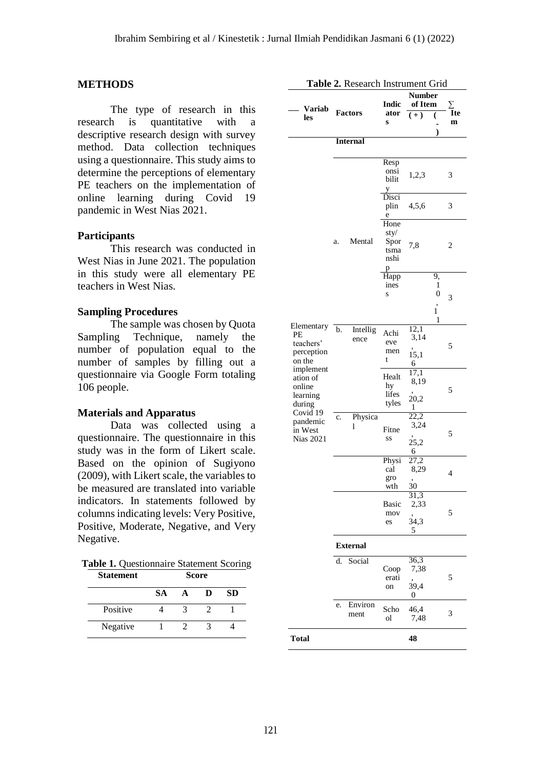#### **METHODS**

The type of research in this research is quantitative with a descriptive research design with survey method. Data collection techniques using a questionnaire. This study aims to determine the perceptions of elementary PE teachers on the implementation of online learning during Covid 19 pandemic in West Nias 2021.

### **Participants**

This research was conducted in West Nias in June 2021. The population in this study were all elementary PE teachers in West Nias.

#### **Sampling Procedures**

The sample was chosen by Quota Sampling Technique, namely the number of population equal to the number of samples by filling out a questionnaire via Google Form totaling 106 people.

#### **Materials and Apparatus**

Data was collected using a questionnaire. The questionnaire in this study was in the form of Likert scale. Based on the opinion of Sugiyono (2009), with Likert scale, the variables to be measured are translated into variable indicators. In statements followed by columns indicating levels: Very Positive, Positive, Moderate, Negative, and Very Negative.

**Table 1.** Questionnaire Statement Scoring **Statement Score**

|          | <b>SA</b> | D | <b>SD</b> |
|----------|-----------|---|-----------|
| Positive |           |   |           |
| Negative |           |   |           |

| Variab<br>les                                         |    | <b>Factors</b>   | <b>Indic</b><br>ator<br>S                 | <b>Number</b><br>of Item<br>$(+)$                       | lte<br>m                               |
|-------------------------------------------------------|----|------------------|-------------------------------------------|---------------------------------------------------------|----------------------------------------|
|                                                       |    | <b>Internal</b>  |                                           |                                                         |                                        |
|                                                       |    |                  | Resp<br>onsi<br>bilit<br>y                | 1,2,3                                                   | 3                                      |
|                                                       |    |                  | Disci<br>plin<br>e                        | 4,5,6                                                   | 3                                      |
|                                                       | a. | Mental           | Hone<br>sty/<br>Spor<br>tsma<br>nshi<br>p | 7,8                                                     | 2                                      |
|                                                       |    |                  | $\overline{\text{H}}$ app<br>ines<br>S    |                                                         | 9,<br>1<br>0<br>3<br>$\mathbf{i}$<br>1 |
| Elementary<br>РE<br>teachers'<br>perception<br>on the | b. | Intellig<br>ence | Achi<br>eve<br>men<br>t                   | 12,1<br>3,14<br>15,1<br>6                               | 5                                      |
| implement<br>ation of<br>online<br>learning<br>during |    |                  | Healt<br>hy<br>lifes<br>tyles             | 17,1<br>8,19<br>20,2<br>1                               | 5                                      |
| Covid 19<br>pandemic<br>in West<br><b>Nias 2021</b>   | c. | Physica<br>1     | Fitne<br>SS                               | 22,2<br>3,24<br>25,2<br>6                               | 5                                      |
|                                                       |    |                  | Physi<br>cal<br>gro<br>wth                | 27,2<br>8,29<br>,<br>30                                 | $\overline{4}$                         |
|                                                       |    |                  | Basic<br>mov<br>es                        | $\overline{\mathbf{3}}$<br>31<br>2,33<br>,<br>34,3<br>5 | 5                                      |
|                                                       |    | <b>External</b>  |                                           |                                                         |                                        |
|                                                       | d. | Social           | Coop<br>erati<br>on                       | 36,3<br>7,38<br>,<br>39,4<br>$\mathbf{0}$               | 5                                      |
|                                                       | e. | Environ<br>ment  | Scho<br>ol                                | 46,4<br>7,48                                            | 3                                      |
| <b>Total</b>                                          |    |                  |                                           | 48                                                      |                                        |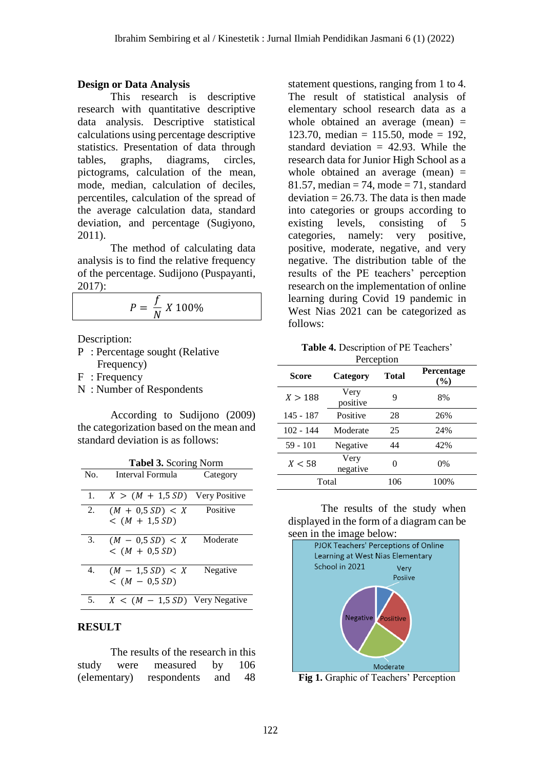# **Design or Data Analysis**

This research is descriptive research with quantitative descriptive data analysis. Descriptive statistical calculations using percentage descriptive statistics. Presentation of data through tables, graphs, diagrams, circles, pictograms, calculation of the mean, mode, median, calculation of deciles, percentiles, calculation of the spread of the average calculation data, standard deviation, and percentage (Sugiyono, 2011).

The method of calculating data analysis is to find the relative frequency of the percentage. Sudijono (Puspayanti, 2017):

$$
P = \frac{f}{N} X 100\%
$$

Description:

- P : Percentage sought (Relative Frequency)
- F : Frequency
- N : Number of Respondents

According to Sudijono (2009) the categorization based on the mean and standard deviation is as follows:

|     | <b>Tabel 3. Scoring Norm</b>           |          |
|-----|----------------------------------------|----------|
| No. | Interval Formula                       | Category |
| 1.  | $X > (M + 1.5 SD)$ Very Positive       |          |
| 2.  | $(M + 0.5 SD) < X$<br>$<$ (M + 1,5 SD) | Positive |
| 3.  | $(M - 0.5 SD) < X$<br>$<$ (M + 0,5 SD) | Moderate |
| 4.  | $(M - 1.5 SD) < X$<br>$<$ (M - 0,5 SD) | Negative |
| 5.  | $X < (M - 1.5 SD)$ Very Negative       |          |

## **RESULT**

The results of the research in this study were measured by 106 (elementary) respondents and 48

statement questions, ranging from 1 to 4. The result of statistical analysis of elementary school research data as a whole obtained an average (mean)  $=$ 123.70, median = 115.50, mode = 192. standard deviation  $= 42.93$ . While the research data for Junior High School as a whole obtained an average (mean) = 81.57, median  $= 74$ , mode  $= 71$ , standard deviation  $= 26.73$ . The data is then made into categories or groups according to existing levels, consisting of 5 categories, namely: very positive, positive, moderate, negative, and very negative. The distribution table of the results of the PE teachers' perception research on the implementation of online learning during Covid 19 pandemic in West Nias 2021 can be categorized as follows:

**Table 4.** Description of PE Teachers' **Perception** 

| Score       | Category         | Total | Percentage<br>(%) |
|-------------|------------------|-------|-------------------|
| X > 188     | Very<br>positive | 9     | 8%                |
| 145 - 187   | Positive         | 28    | 26%               |
| $102 - 144$ | Moderate         | 25    | 24%               |
| 59 - 101    | Negative         | 44    | 42%               |
| X < 58      | Very<br>negative |       | $0\%$             |
|             | Total            | 106   | 100%              |

The results of the study when displayed in the form of a diagram can be



**Fig 1.** Graphic of Teachers' Perception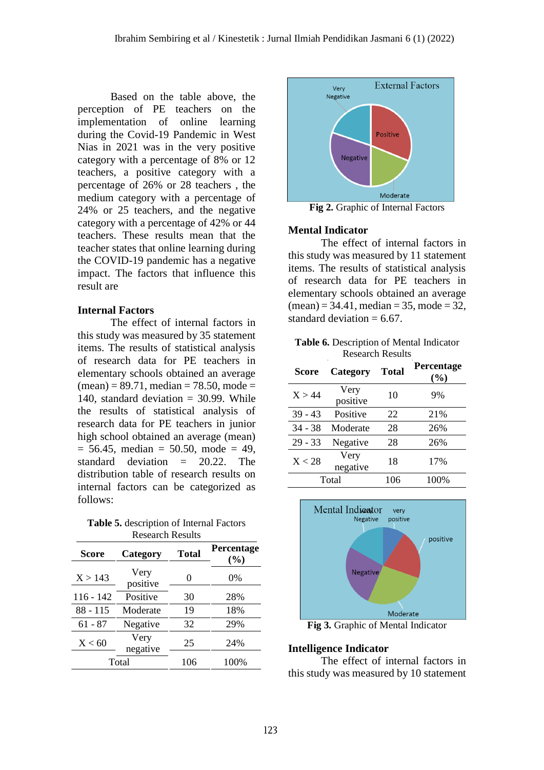Based on the table above, the perception of PE teachers on the implementation of online learning during the Covid-19 Pandemic in West Nias in 2021 was in the very positive category with a percentage of 8% or 12 teachers, a positive category with a percentage of 26% or 28 teachers , the medium category with a percentage of 24% or 25 teachers, and the negative category with a percentage of 42% or 44 teachers. These results mean that the teacher states that online learning during the COVID-19 pandemic has a negative impact. The factors that influence this result are

#### **Internal Factors**

The effect of internal factors in this study was measured by 35 statement items. The results of statistical analysis of research data for PE teachers in elementary schools obtained an average  $(mean) = 89.71$ , median = 78.50, mode = 140, standard deviation  $= 30.99$ . While the results of statistical analysis of research data for PE teachers in junior high school obtained an average (mean)  $= 56.45$ , median  $= 50.50$ , mode  $= 49$ , standard deviation = 20.22. The distribution table of research results on internal factors can be categorized as follows:

**Table 5.** description of Internal Factors Research Results

| Score       | Category         | <b>Total</b> | Percentage<br>(%) |
|-------------|------------------|--------------|-------------------|
| X > 143     | Very<br>positive | 0            | 0%                |
| $116 - 142$ | Positive         | 30           | 28%               |
| 88 - 115    | Moderate         | 19           | 18%               |
| $61 - 87$   | Negative         | 32           | 29%               |
| X < 60      | Very<br>negative | 25           | 24%               |
|             | Total            | 106          | 100%              |



**Fig 2.** Graphic of Internal Factors

#### **Mental Indicator**

The effect of internal factors in this study was measured by 11 statement items. The results of statistical analysis of research data for PE teachers in elementary schools obtained an average  $(mean) = 34.41$ , median = 35, mode = 32, standard deviation  $= 6.67$ .

**Table 6.** Description of Mental Indicator Research Results

| Score     | Category         | <b>Total</b> | Percentage<br>(%) |
|-----------|------------------|--------------|-------------------|
| X > 44    | Very<br>positive | 10           | 9%                |
| $39 - 43$ | Positive         | 22           | 21%               |
| $34 - 38$ | Moderate         | 28           | 26%               |
| $29 - 33$ | Negative         | 28           | 26%               |
| X < 28    | Very<br>negative | 18           | 17%               |
|           | Total            | 106          | 100%              |



**Fig 3.** Graphic of Mental Indicator

#### **Intelligence Indicator**

The effect of internal factors in this study was measured by 10 statement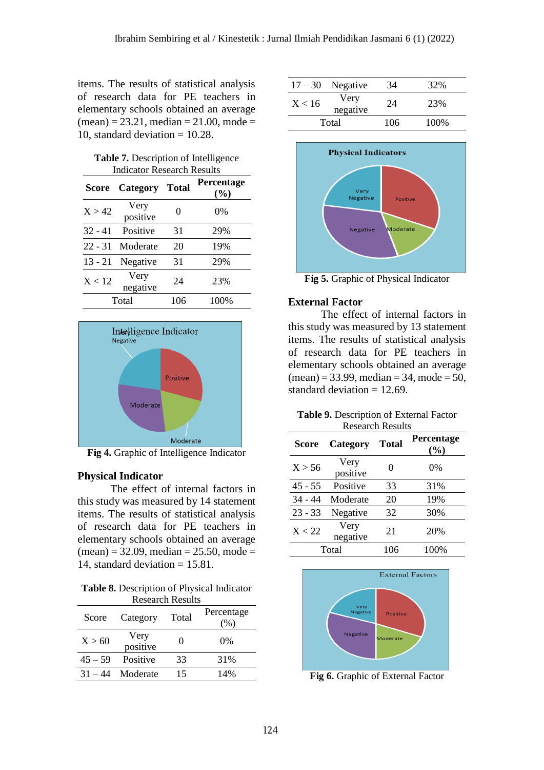items. The results of statistical analysis of research data for PE teachers in elementary schools obtained an average  $(mean) = 23.21$ , median = 21.00, mode = 10, standard deviation  $= 10.28$ .

| Table 7. Description of Intelligence |  |
|--------------------------------------|--|
| Indicator Research Results           |  |

| Score     | <b>Category Total</b> |     | Percentage<br>(%) |
|-----------|-----------------------|-----|-------------------|
| X > 42    | Very<br>positive      | 0   | 0%                |
| $32 - 41$ | Positive              | 31  | 29%               |
| $22 - 31$ | Moderate              | 20  | 19%               |
| 13 - 21   | Negative              | 31  | 29%               |
| X < 12    | Very<br>negative      | 24  | 23%               |
|           | Total                 | 106 | 100%              |



**Fig 4.** Graphic of Intelligence Indicator

#### **Physical Indicator**

The effect of internal factors in this study was measured by 14 statement items. The results of statistical analysis of research data for PE teachers in elementary schools obtained an average  $(mean) = 32.09$ , median = 25.50, mode = 14, standard deviation  $= 15.81$ .

**Table 8.** Description of Physical Indicator Research Results

| Score     | Category         | Total             | Percentage<br>(%) |
|-----------|------------------|-------------------|-------------------|
| X > 60    | Very<br>positive | $\mathbf{\Omega}$ | $0\%$             |
| $45 - 59$ | Positive         | 33                | 31%               |
| $31 - 44$ | Moderate         | 15                | 14%               |

| $17 - 30$ | Negative         | 34  | 32%  |
|-----------|------------------|-----|------|
| X < 16    | Very<br>negative | 24  | 23%  |
|           | Total            | 106 | 100% |



**Fig 5.** Graphic of Physical Indicator

#### **External Factor**

The effect of internal factors in this study was measured by 13 statement items. The results of statistical analysis of research data for PE teachers in elementary schools obtained an average  $(mean) = 33.99$ , median = 34, mode = 50, standard deviation  $= 12.69$ .

| <b>Table 9.</b> Description of External Factor |
|------------------------------------------------|
| <b>Research Results</b>                        |

| Score     | Category         | <b>Total</b>      | Percentage<br>(%) |
|-----------|------------------|-------------------|-------------------|
| X > 56    | Very<br>positive | $\mathbf{\Omega}$ | 0%                |
| $45 - 55$ | Positive         | 33                | 31%               |
| $34 - 44$ | Moderate         | 20                | 19%               |
| $23 - 33$ | Negative         | 32                | 30%               |
| X < 22    | Very<br>negative | 21                | 20%               |
| Total     |                  | 106               | 100%              |



**Fig 6.** Graphic of External Factor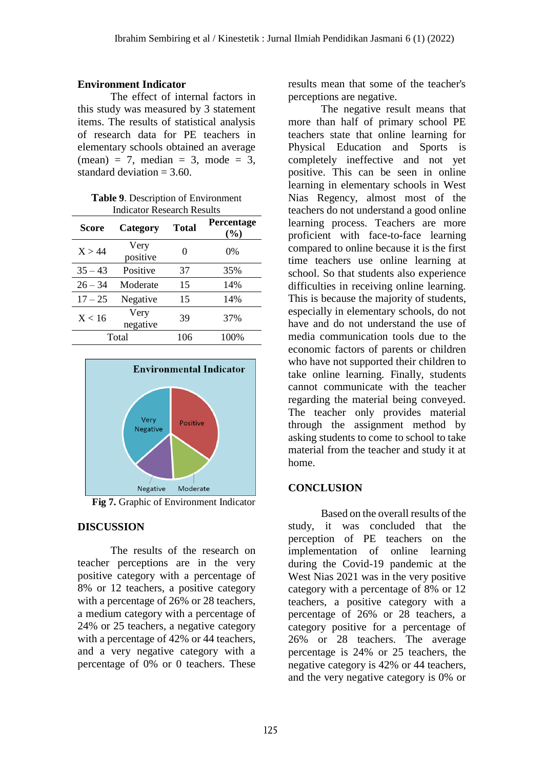### **Environment Indicator**

The effect of internal factors in this study was measured by 3 statement items. The results of statistical analysis of research data for PE teachers in elementary schools obtained an average  $(mean) = 7$ , median = 3, mode = 3. standard deviation  $= 3.60$ .

| Table 9. Description of Environment |  |
|-------------------------------------|--|
| <b>Indicator Research Results</b>   |  |

| Score     | Category         | <b>Total</b> | <b>Percentage</b><br>$(\%)$ |
|-----------|------------------|--------------|-----------------------------|
| X > 44    | Very<br>positive | 0            | $0\%$                       |
| $35 - 43$ | Positive         | 37           | 35%                         |
| $26 - 34$ | Moderate         | 15           | 14%                         |
| $17 - 25$ | Negative         | 15           | 14%                         |
| X < 16    | Very<br>negative | 39           | 37%                         |
| Total     |                  | 106          | 100%                        |



**Fig 7.** Graphic of Environment Indicator

## **DISCUSSION**

The results of the research on teacher perceptions are in the very positive category with a percentage of 8% or 12 teachers, a positive category with a percentage of 26% or 28 teachers, a medium category with a percentage of 24% or 25 teachers, a negative category with a percentage of 42% or 44 teachers, and a very negative category with a percentage of 0% or 0 teachers. These

results mean that some of the teacher's perceptions are negative.

The negative result means that more than half of primary school PE teachers state that online learning for Physical Education and Sports is completely ineffective and not yet positive. This can be seen in online learning in elementary schools in West Nias Regency, almost most of the teachers do not understand a good online learning process. Teachers are more proficient with face-to-face learning compared to online because it is the first time teachers use online learning at school. So that students also experience difficulties in receiving online learning. This is because the majority of students, especially in elementary schools, do not have and do not understand the use of media communication tools due to the economic factors of parents or children who have not supported their children to take online learning. Finally, students cannot communicate with the teacher regarding the material being conveyed. The teacher only provides material through the assignment method by asking students to come to school to take material from the teacher and study it at home.

### **CONCLUSION**

Based on the overall results of the study, it was concluded that the perception of PE teachers on the implementation of online learning during the Covid-19 pandemic at the West Nias 2021 was in the very positive category with a percentage of 8% or 12 teachers, a positive category with a percentage of 26% or 28 teachers, a category positive for a percentage of 26% or 28 teachers. The average percentage is 24% or 25 teachers, the negative category is 42% or 44 teachers, and the very negative category is 0% or